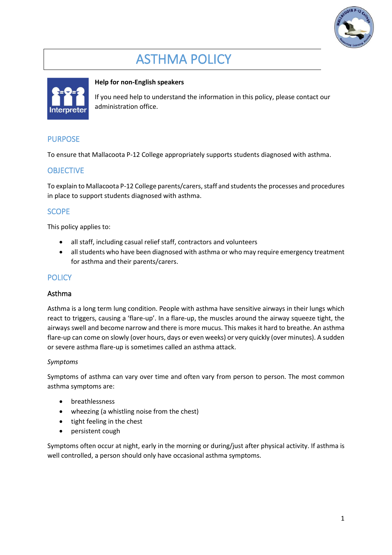

# ASTHMA POLICY



#### **Help for non-English speakers**

If you need help to understand the information in this policy, please contact our administration office.

# PURPOSE

To ensure that Mallacoota P-12 College appropriately supports students diagnosed with asthma.

# **OBJECTIVE**

To explain to Mallacoota P-12 College parents/carers, staff and studentsthe processes and procedures in place to support students diagnosed with asthma.

#### **SCOPE**

This policy applies to:

- all staff, including casual relief staff, contractors and volunteers
- all students who have been diagnosed with asthma or who may require emergency treatment for asthma and their parents/carers.

# **POLICY**

#### Asthma

Asthma is a long term lung condition. People with asthma have sensitive airways in their lungs which react to triggers, causing a 'flare-up'. In a flare-up, the muscles around the airway squeeze tight, the airways swell and become narrow and there is more mucus. This makes it hard to breathe. An asthma flare-up can come on slowly (over hours, days or even weeks) or very quickly (over minutes). A sudden or severe asthma flare-up is sometimes called an asthma attack.

#### *Symptoms*

Symptoms of asthma can vary over time and often vary from person to person. The most common asthma symptoms are:

- breathlessness
- wheezing (a whistling noise from the chest)
- tight feeling in the chest
- persistent cough

Symptoms often occur at night, early in the morning or during/just after physical activity. If asthma is well controlled, a person should only have occasional asthma symptoms.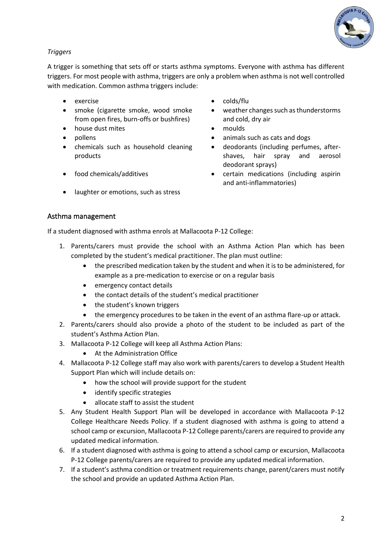

# *Triggers*

A trigger is something that sets off or starts asthma symptoms. Everyone with asthma has different triggers. For most people with asthma, triggers are only a problem when asthma is not well controlled with medication. Common asthma triggers include:

- 
- smoke (cigarette smoke, wood smoke from open fires, burn-offs or bushfires)
- house dust mites moulds
- 
- chemicals such as household cleaning products
- 
- laughter or emotions, such as stress
- exercise **•** colds/flu
	- weather changes such as thunderstorms and cold, dry air
	-
- pollens animals such as cats and dogs
	- deodorants (including perfumes, aftershaves, hair spray and aerosol deodorant sprays)
- food chemicals/additives certain medications (including aspirin and anti-inflammatories)

# Asthma management

If a student diagnosed with asthma enrols at Mallacoota P-12 College:

- 1. Parents/carers must provide the school with an Asthma Action Plan which has been completed by the student's medical practitioner. The plan must outline:
	- the prescribed medication taken by the student and when it is to be administered, for example as a pre-medication to exercise or on a regular basis
	- emergency contact details
	- the contact details of the student's medical practitioner
	- the student's known triggers
	- the emergency procedures to be taken in the event of an asthma flare-up or attack.
- 2. Parents/carers should also provide a photo of the student to be included as part of the student's Asthma Action Plan.
- 3. Mallacoota P-12 College will keep all Asthma Action Plans:
	- At the Administration Office
- 4. Mallacoota P-12 College staff may also work with parents/carers to develop a Student Health Support Plan which will include details on:
	- how the school will provide support for the student
	- identify specific strategies
	- allocate staff to assist the student
- 5. Any Student Health Support Plan will be developed in accordance with Mallacoota P-12 College Healthcare Needs Policy. If a student diagnosed with asthma is going to attend a school camp or excursion, Mallacoota P-12 College parents/carers are required to provide any updated medical information.
- 6. If a student diagnosed with asthma is going to attend a school camp or excursion, Mallacoota P-12 College parents/carers are required to provide any updated medical information.
- 7. If a student's asthma condition or treatment requirements change, parent/carers must notify the school and provide an updated Asthma Action Plan.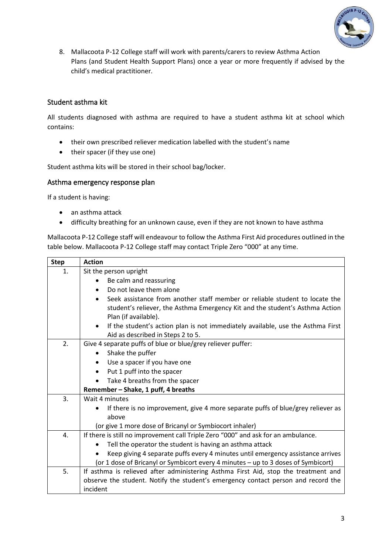

8. Mallacoota P-12 College staff will work with parents/carers to review Asthma Action Plans (and Student Health Support Plans) once a year or more frequently if advised by the child's medical practitioner.

# Student asthma kit

All students diagnosed with asthma are required to have a student asthma kit at school which contains:

- their own prescribed reliever medication labelled with the student's name
- their spacer (if they use one)

Student asthma kits will be stored in their school bag/locker.

#### Asthma emergency response plan

If a student is having:

- an asthma attack
- difficulty breathing for an unknown cause, even if they are not known to have asthma

Mallacoota P-12 College staff will endeavour to follow the Asthma First Aid procedures outlined in the table below. Mallacoota P-12 College staff may contact Triple Zero "000" at any time.

| <b>Step</b> | <b>Action</b>                                                                                |  |  |  |  |
|-------------|----------------------------------------------------------------------------------------------|--|--|--|--|
| 1.          | Sit the person upright                                                                       |  |  |  |  |
|             | Be calm and reassuring                                                                       |  |  |  |  |
|             | Do not leave them alone                                                                      |  |  |  |  |
|             | Seek assistance from another staff member or reliable student to locate the<br>$\bullet$     |  |  |  |  |
|             | student's reliever, the Asthma Emergency Kit and the student's Asthma Action                 |  |  |  |  |
|             | Plan (if available).                                                                         |  |  |  |  |
|             | If the student's action plan is not immediately available, use the Asthma First<br>$\bullet$ |  |  |  |  |
|             | Aid as described in Steps 2 to 5.                                                            |  |  |  |  |
| 2.          | Give 4 separate puffs of blue or blue/grey reliever puffer:                                  |  |  |  |  |
|             | Shake the puffer<br>$\bullet$                                                                |  |  |  |  |
|             | Use a spacer if you have one                                                                 |  |  |  |  |
|             | Put 1 puff into the spacer                                                                   |  |  |  |  |
|             | Take 4 breaths from the spacer                                                               |  |  |  |  |
|             | Remember - Shake, 1 puff, 4 breaths                                                          |  |  |  |  |
| 3.          | Wait 4 minutes                                                                               |  |  |  |  |
|             | If there is no improvement, give 4 more separate puffs of blue/grey reliever as              |  |  |  |  |
|             | above                                                                                        |  |  |  |  |
|             | (or give 1 more dose of Bricanyl or Symbiocort inhaler)                                      |  |  |  |  |
| 4.          | If there is still no improvement call Triple Zero "000" and ask for an ambulance.            |  |  |  |  |
|             | Tell the operator the student is having an asthma attack                                     |  |  |  |  |
|             | Keep giving 4 separate puffs every 4 minutes until emergency assistance arrives              |  |  |  |  |
|             | (or 1 dose of Bricanyl or Symbicort every 4 minutes - up to 3 doses of Symbicort)            |  |  |  |  |
| 5.          | If asthma is relieved after administering Asthma First Aid, stop the treatment and           |  |  |  |  |
|             | observe the student. Notify the student's emergency contact person and record the            |  |  |  |  |
|             | incident                                                                                     |  |  |  |  |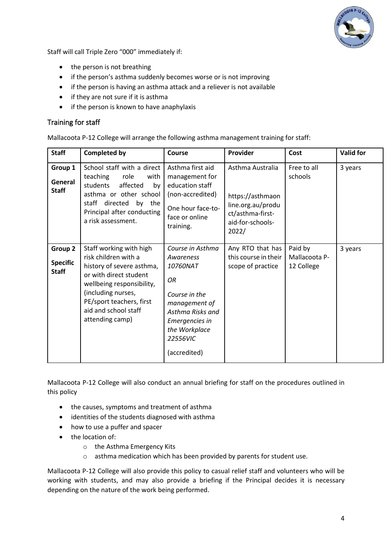

Staff will call Triple Zero "000" immediately if:

- the person is not breathing
- if the person's asthma suddenly becomes worse or is not improving
- if the person is having an asthma attack and a reliever is not available
- if they are not sure if it is asthma
- if the person is known to have anaphylaxis

#### Training for staff

Mallacoota P-12 College will arrange the following asthma management training for staff:

| <b>Staff</b>                               | <b>Completed by</b>                                                                                                                                                                                                              | Course                                                                                                                                                               | Provider                                                                                                   | Cost                                   | <b>Valid for</b> |
|--------------------------------------------|----------------------------------------------------------------------------------------------------------------------------------------------------------------------------------------------------------------------------------|----------------------------------------------------------------------------------------------------------------------------------------------------------------------|------------------------------------------------------------------------------------------------------------|----------------------------------------|------------------|
| Group 1<br>General<br><b>Staff</b>         | School staff with a direct<br>teaching<br>role<br>with<br>students<br>affected<br>by<br>asthma or other school<br>directed<br>staff<br>by the<br>Principal after conducting<br>a risk assessment.                                | Asthma first aid<br>management for<br>education staff<br>(non-accredited)<br>One hour face-to-<br>face or online<br>training.                                        | Asthma Australia<br>https://asthmaon<br>line.org.au/produ<br>ct/asthma-first-<br>aid-for-schools-<br>2022/ | Free to all<br>schools                 | 3 years          |
| Group 2<br><b>Specific</b><br><b>Staff</b> | Staff working with high<br>risk children with a<br>history of severe asthma,<br>or with direct student<br>wellbeing responsibility,<br>(including nurses,<br>PE/sport teachers, first<br>aid and school staff<br>attending camp) | Course in Asthma<br>Awareness<br>10760NAT<br>OR<br>Course in the<br>management of<br>Asthma Risks and<br>Emergencies in<br>the Workplace<br>22556VIC<br>(accredited) | Any RTO that has<br>this course in their<br>scope of practice                                              | Paid by<br>Mallacoota P-<br>12 College | 3 years          |

Mallacoota P-12 College will also conduct an annual briefing for staff on the procedures outlined in this policy

- the causes, symptoms and treatment of asthma
- identities of the students diagnosed with asthma
- how to use a puffer and spacer
- the location of:
	- o the Asthma Emergency Kits
	- o asthma medication which has been provided by parents for student use.

Mallacoota P-12 College will also provide this policy to casual relief staff and volunteers who will be working with students, and may also provide a briefing if the Principal decides it is necessary depending on the nature of the work being performed.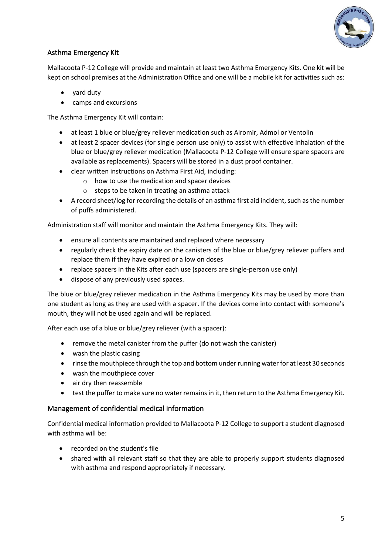

# Asthma Emergency Kit

Mallacoota P-12 College will provide and maintain at least two Asthma Emergency Kits. One kit will be kept on school premises at the Administration Office and one will be a mobile kit for activities such as:

- yard duty
- camps and excursions

The Asthma Emergency Kit will contain:

- at least 1 blue or blue/grey reliever medication such as Airomir, Admol or Ventolin
- at least 2 spacer devices (for single person use only) to assist with effective inhalation of the blue or blue/grey reliever medication (Mallacoota P-12 College will ensure spare spacers are available as replacements). Spacers will be stored in a dust proof container.
- clear written instructions on Asthma First Aid, including:
	- o how to use the medication and spacer devices
	- o steps to be taken in treating an asthma attack
- A record sheet/log for recording the details of an asthma first aid incident, such as the number of puffs administered.

Administration staff will monitor and maintain the Asthma Emergency Kits. They will:

- ensure all contents are maintained and replaced where necessary
- regularly check the expiry date on the canisters of the blue or blue/grey reliever puffers and replace them if they have expired or a low on doses
- replace spacers in the Kits after each use (spacers are single-person use only)
- dispose of any previously used spaces.

The blue or blue/grey reliever medication in the Asthma Emergency Kits may be used by more than one student as long as they are used with a spacer. If the devices come into contact with someone's mouth, they will not be used again and will be replaced.

After each use of a blue or blue/grey reliever (with a spacer):

- remove the metal canister from the puffer (do not wash the canister)
- wash the plastic casing
- rinse the mouthpiece through the top and bottom under running water for at least 30 seconds
- wash the mouthpiece cover
- air dry then reassemble
- test the puffer to make sure no water remains in it, then return to the Asthma Emergency Kit.

#### Management of confidential medical information

Confidential medical information provided to Mallacoota P-12 College to support a student diagnosed with asthma will be:

- recorded on the student's file
- shared with all relevant staff so that they are able to properly support students diagnosed with asthma and respond appropriately if necessary.